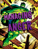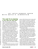### **BY JOYCE RENDER COHEN WITH G A YLE R. DINERSTEIN**

## **"How could this be happening "How could this be happening to me? Why me? Why now?" to me? Why me? Why now?"**

Anger with MS is part of having MS. I know. The professionals tell me that anger is a normal adaptive human emotion, a signal that something needs to be changed. Anger can also be a symptom of depression—which is something for people with MS to remember. Rates of depression are up to three times higher for us than the general population.

Dr. Randolph B. Schiffer, professor of Neuropsychiatry and Behavioral Science at Texas Tech University, says that people with MS deal with two kinds of anger. There is "existential anger"—about the injustice of it all. Having MS is deeply unfair. Then there is "instrumental anger"—the anger that stems from everyday frustrations presented by MS, from trouble with a belt buckle to the HMO that won't pay for your disease-modifying medication.

Dr. Schiffer believes that the two kinds of anger are fundamentally linked. Each

person with MS must come to terms with the core injustice and then, in daily life, learn to balance out the frustrations. He likes to point out that anger can fuel positive problem solving. Years ago, Sylvia Lawry's brother was diagnosed with MS. She was so angry that medical science could offer no help that she started the National MS Society.

According to Peggy Crawford, PhD, a clinical psychologist with the Cleveland Clinic's Mellen Center for Multiple Sclerosis, "Anger often comes in waves. At the time of the diagnosis, there can be anger over how long it took to get the diagnosis. Anger may resurface when new symptoms appear, and again when old symptoms come back in new ways."

My own experience mirrors the experts' words. When exacerbations left me without the use of my limbs, and the recovery seemed endlessly slow, I raged. When vision loss took away my ability to drive and the independence that goes with that, I fumed. When my body functions dimin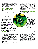ished, I felt fury. When I was diagnosed, floods of anger ran through me. Visuals of a wheelchair and a paralyzed body kept playing in my head.

# **Learning that anger Learning that anger is a normal feeling is a normal feeling**

In the past 17 years of living with MS, anger has been an almost constant companion. Luckily, I have learned how to dissipate some of it and to channel the rest into a positive force. Learning that anger is normal was a first step. It paved the way for me to seek the help of a mental-health professional.

# **In the Past 17 years of living with MS, anger has been an almost constant companion. Luckily I have learned how to dissipate some of it and to channel the rest into a positive force.**

Why would you want to take this step? Very simply, anger can rob you of the energy you need to live your life well with MS. Anger can become a rationale for inappropriate behavior—behavior that can drive a wedge between you and the people you love. Anger can be a cover for hidden feelings like fear and a sense of helplessness. And, importantly, a professional can help you assess the difference between normal anger and depression.

Dr. Crawford asks her patients, "What is the payoff for all this anger?" This is a difficult question, but it's one that must be answered if a person is going to distinguish between the anger that leads to problem solving and the anger that simply overwhelms.

#### **How angry are you, how often, How angry are you, how often, and when? and when?**

Dr. Crawford gives her patients a questionnaire that asks about moods, physical symptoms, and how the individual copes with stress. When people feel overstressed, it's common to feel angry. Dr. Crawford's thorough evaluation helps people frame the basic questions—how angry

are you, how often, and when? which can lead to identifying ways to deal with stress.

Men and women tend to express anger differently. Men are more likely to show their anger. They become assertive, even bullying. Women often resort to passiveaggressive behavior. They retreat into silence—and resentfulness. But both behaviors are made of the same basic stuff. The reason to explore the whys and whens of your anger is to come up with solutions you can use to manage it in more healthy ways. Understanding what triggers your anger can circumvent many explosions.

My personal flash points are varied: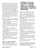some silly, some serious. I'm easily triggered when I see others do what I can no longer do: dancing gracefully; walking hand-in-hand with a partner; driving anywhere, anytime; trying on and buying stylish high-heeled shoes; and filling their vacation days with nonstop shopping, museum visits, concerts, and dinners—all with no concessions to fatigue, spasticity, or mobility problems. I also have to work on managing anger whenever I need to ask someone for help. It always makes me feel that MS has turned me into more of a receiver than a giver.

## **What are your personal triggers? What are your personal triggers?**

■ New symptoms.

■ People who equate a chronic disease with loss of intelligence.

■ Family and friends who should be able to see what needs to be done without needing another explanation of the situation.

■ Needing to ask—every time—for a ride to a regular event or meeting.

■ Demanding social events or extended family gatherings.

■ Handicapped seats that are in the worst viewing areas at arenas or theaters.

■ Feeling left out in social situations when a mobility aid keeps you from being close to the action.

■ Going to restaurants, stores, or hotel rooms that claim to be accessible and aren't.

# **What are some solutions? What are some solutions?**

**When you feel the heat rising:**

■ Do something physical as a release: Hit a pillow, rip up paper (old phone

**My personal flash points are varied: some silly, some serious. I'm easily triggered when I see others do what I can no longer do: dancing gracefully … buying stylish high-heeled shoes …**

books work especially well), let out a scream, go for a walk, get on a bike (stationary or outdoor bike), or use any other piece of exercise equipment. You could even try swishing finger paints or pudding on a big piece of paper until the anger dissipates.

■ Let music calm you: dance or just sway to music, sing your favorite songs as loudly as you can.

■ Use the soothing power of water: take a shower, relax in a bathtub, swim, if that's available, or simply splash your hands in a basin of cool water.

■ Practice the old "count to 10", then shift to deep breathing or any of the relaxation techniques you have learned (see below).

■ Bake bread—kneading dough is a great release—keep frozen dough on hand or use play dough to slap around if you don't want the bread.

■ Escape into a book or video and lose yourself in someone else's life; engage your mind in a challenging crossword or jigsaw puzzle.

■ Pray or meditate—these are powerful tools for managing anger.

**To help keep your anger under control, choose some of these for a regular emotional maintenance program:**